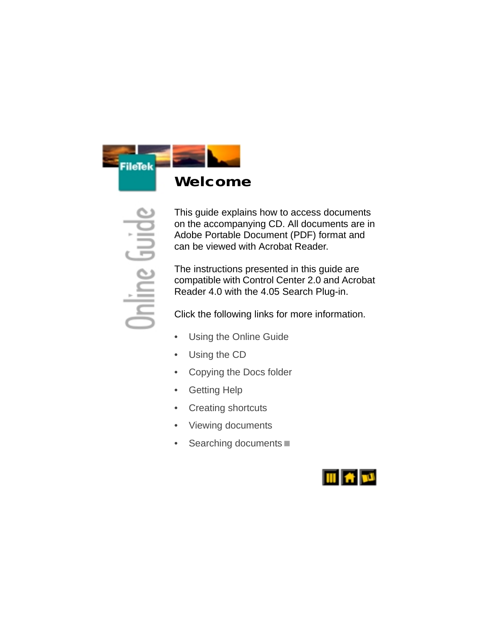<span id="page-0-0"></span>

This guide explains how to access documents on the accompanying CD. All documents are in Adobe Portable Document (PDF) format and can be viewed with Acrobat Reader.

The instructions presented in this guide are compatible with Control Center 2.0 and Acrobat Reader 4.0 with the 4.05 Search Plug-in.

Click the following links for more information.

- Using the Online Guide
- Using the CD
- [Copying the Docs folder](#page-16-0)
- **Getting Help**
- [Creating shortcuts](#page-12-0)
- [Viewing documents](#page-4-0)
- Searching documents

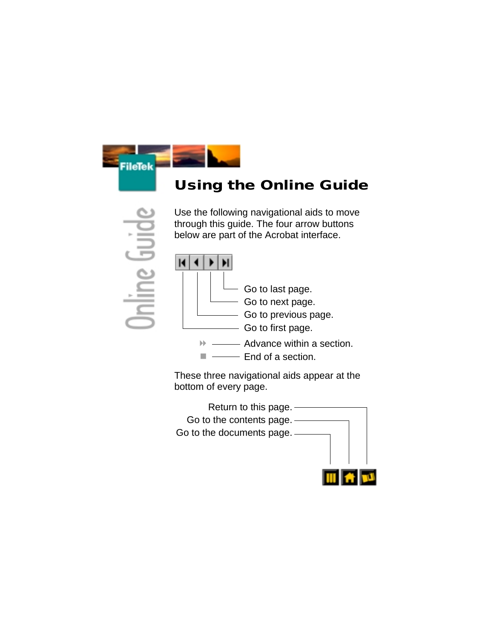

# <span id="page-1-0"></span>**Using the Online Guide**

Use the following navigational aids to move through this guide. The four arrow buttons below are part of the Acrobat interface.



These three navigational aids appear at the bottom of every page.

Return to this page. Go to the contents page. Go to the documents page.

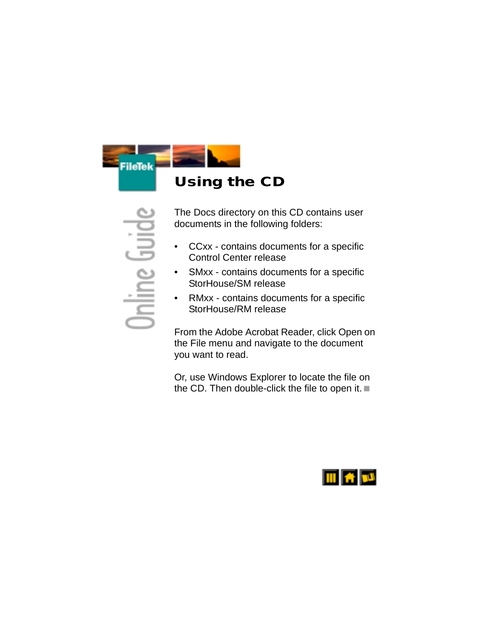

<span id="page-2-0"></span>The Docs directory on this CD contains user documents in the following folders:

- CCxx contains documents for a specific Control Center release
- SMxx contains documents for a specific StorHouse/SM release
- RMxx contains documents for a specific StorHouse/RM release

From the Adobe Acrobat Reader, click Open on the File menu and navigate to the document you want to read.

Or, use Windows Explorer to locate the file on the CD. Then double-click the file to open it.

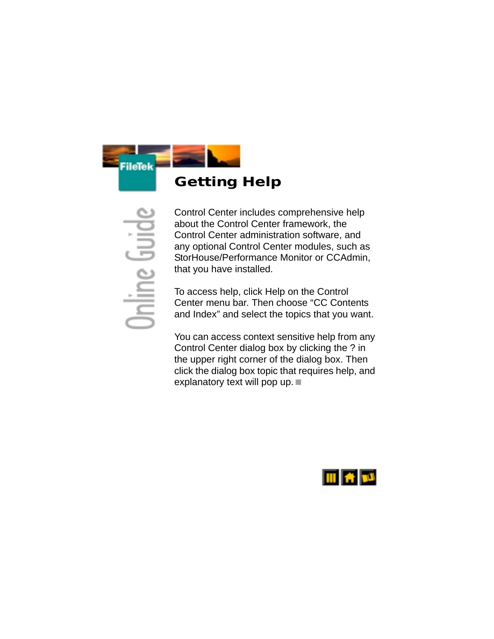

<span id="page-3-0"></span>Control Center includes comprehensive help about the Control Center framework, the Control Center administration software, and any optional Control Center modules, such as StorHouse/Performance Monitor or CCAdmin, that you have installed.

To access help, click Help on the Control Center menu bar. Then choose "CC Contents and Index" and select the topics that you want.

You can access context sensitive help from any Control Center dialog box by clicking the ? in the upper right corner of the dialog box. Then click the dialog box topic that requires help, and explanatory text will pop up.

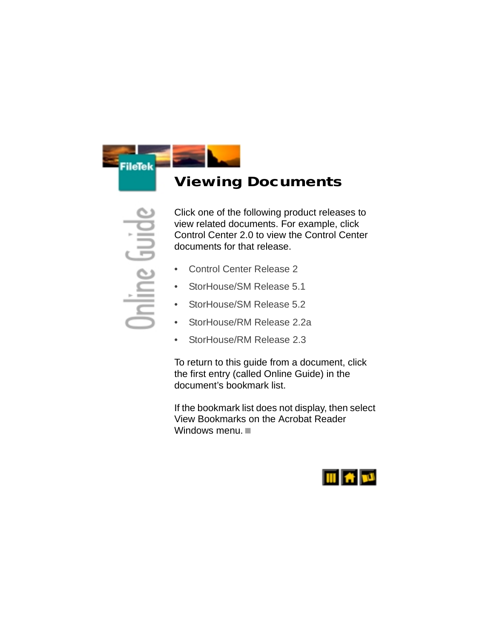

### <span id="page-4-0"></span>**Viewing Documents**

Click one of the following product releases to view related documents. For example, click Control Center 2.0 to view the Control Center documents for that release.

- [Control Center Release 2](#page-5-0)
- [StorHouse/SM Release 5.1](#page-6-0)
- [StorHouse/SM Release 5.2](#page-8-0)
- [StorHouse/RM Release 2.2a](#page-10-0)
- [StorHouse/RM Release 2.3](#page-11-0)

To return to this guide from a document, click the first entry (called Online Guide) in the document's bookmark list.

If the bookmark list does not display, then select View Bookmarks on the Acrobat Reader Windows menu.

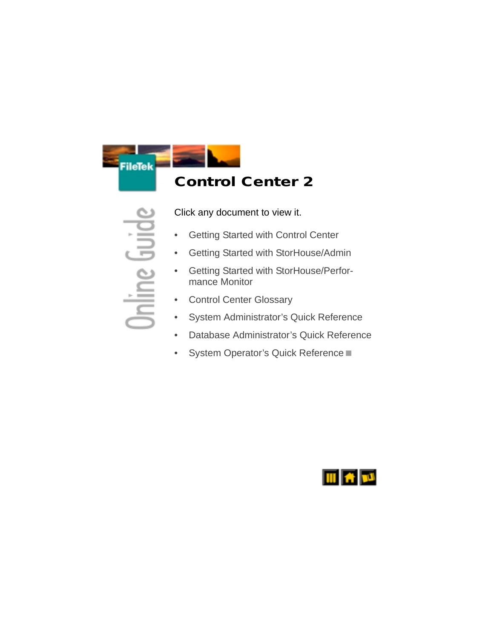

# <span id="page-5-0"></span>**Control Center 2**

Click any document to view it.

- [Getting Started with Control Center](#page-0-0)
- [Getting Started with StorHouse/Admin](#page-0-0)
- [Getting Started with StorHouse/Perfor](#page-0-0)[mance Monitor](#page-0-0)
- **[Control Center Glossary](#page-0-0)**
- [System Administrator's Quick Reference](#page-0-0)
- [Database Administrator's Quick Reference](#page-0-0)
- [System Operator's Quick Reference](#page-0-0)

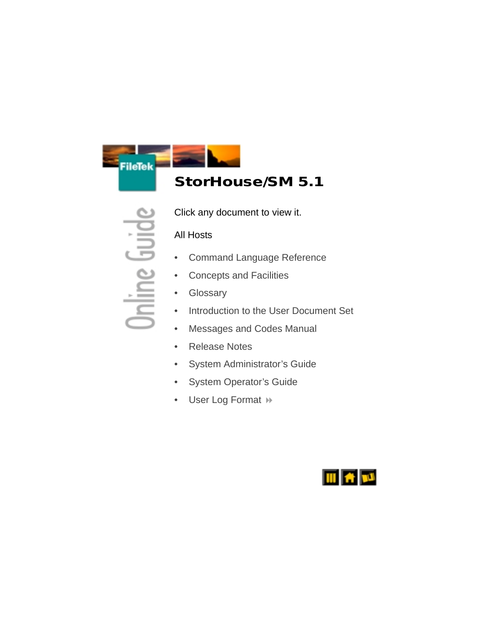

# <span id="page-6-0"></span>**StorHouse/SM 5.1**

Click any document to view it.

### All Hosts

- [Command Language Reference](#page-0-0)
- [Concepts and Facilities](#page-0-0)
- **[Glossary](#page-0-0)**
- [Introduction to the User Document Set](#page-0-0)
- [Messages and Codes Manual](#page-0-0)
- [Release Notes](#page-0-0)
- [System Administrator's Guide](#page-0-0)
- [System Operator's Guide](#page-0-0)
- [User Log Format](#page-0-0) >>

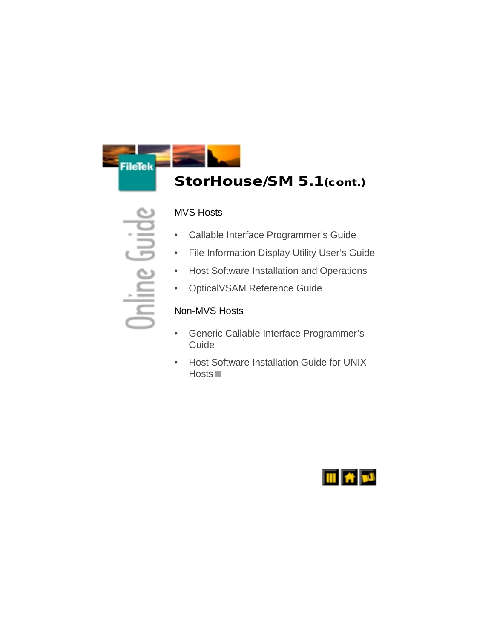

### **StorHouse/SM 5.1(cont.)**

#### <span id="page-7-0"></span>MVS Hosts

- [Callable Interface Programmer's Guide](#page-0-0)
- [File Information Display Utility User's Guide](#page-0-0)
- [Host Software Installation and Operations](#page-0-0)
- [OpticalVSAM Reference Guide](#page-0-0)

#### Non-MVS Hosts

- [Generic Callable Interface Programmer's](#page-0-0)  Guide
- [Host Software Installation Guide for UNIX](#page-0-0)  [Hosts](#page-0-0) **II**

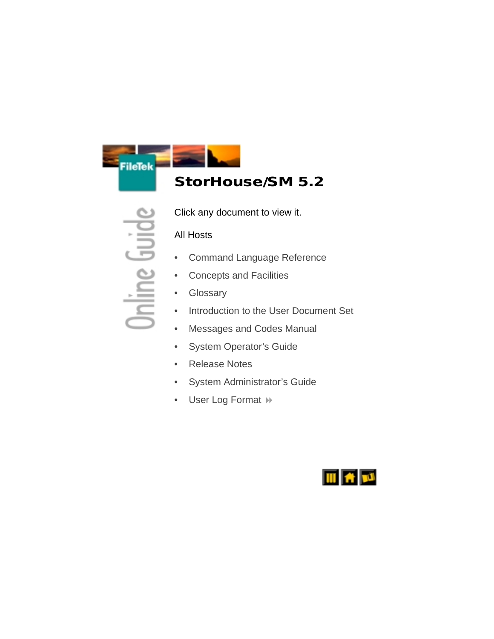

# <span id="page-8-0"></span>**StorHouse/SM 5.2**

Click any document to view it.

### All Hosts

- [Command Language Reference](#page-0-0)
- [Concepts and Facilities](#page-0-0)
- **[Glossary](#page-0-0)**
- [Introduction to the User Document Set](#page-0-0)
- [Messages and Codes Manual](#page-0-0)
- [System Operator's Guide](#page-0-0)
- [Release Notes](#page-0-0)
- [System Administrator's Guide](#page-0-0)
- [User Log Format](#page-0-0) >>

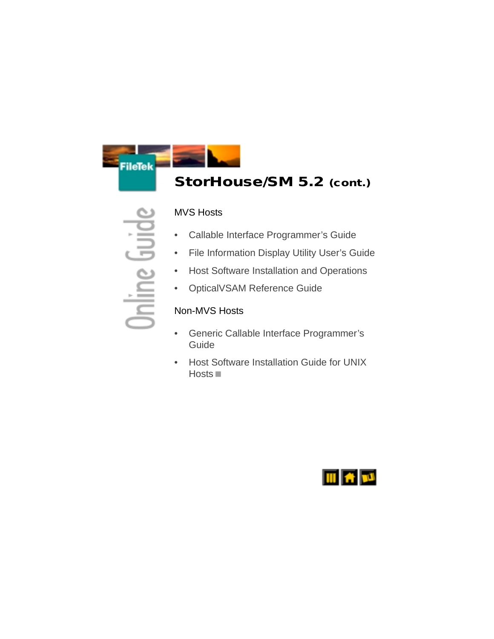

### **StorHouse/SM 5.2 (cont.)**

#### <span id="page-9-0"></span>MVS Hosts

- [Callable Interface Programmer's Guide](#page-0-0)
- [File Information Display Utility User's Guide](#page-0-0)
- [Host Software Installation and Operations](#page-0-0)
- [OpticalVSAM Reference Guide](#page-0-0)

#### Non-MVS Hosts

- [Generic Callable Interface Programmer's](#page-0-0)  Guide
- [Host Software Installation Guide for UNIX](#page-0-0)  [Hosts](#page-0-0) **II**

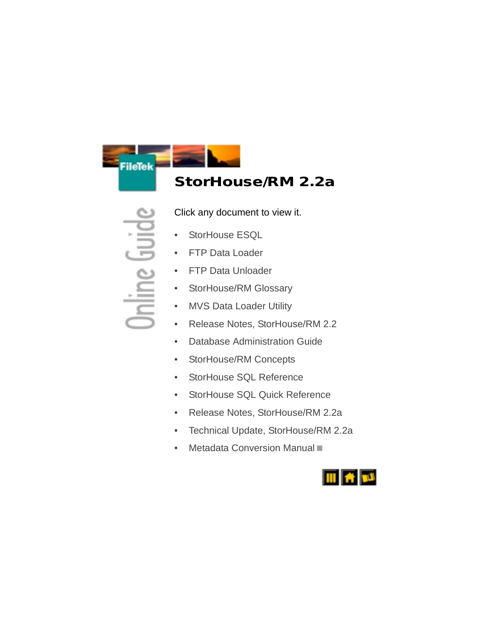

# <span id="page-10-0"></span>**StorHouse/RM 2.2a**

Click any document to view it.

- [StorHouse ESQL](#page-0-0)
- **[FTP Data Loader](#page-0-0)**
- [FTP Data Unloader](#page-0-0)
- [StorHouse/RM Glossary](#page-0-0)
- [MVS Data Loader Utility](#page-0-0)
- [Release Notes, StorHouse/RM 2.2](#page-0-0)
- [Database Administration Guide](#page-0-0)
- [StorHouse/RM Concepts](#page-0-0)
- [StorHouse SQL Reference](#page-0-0)
- [StorHouse SQL Quick Reference](#page-0-0)
- [Release Notes, StorHouse/RM 2.2a](#page-0-0)
- [Technical Update, StorHouse/RM 2.2a](#page-0-0)
- [Metadata Conversion Manual](#page-0-0)

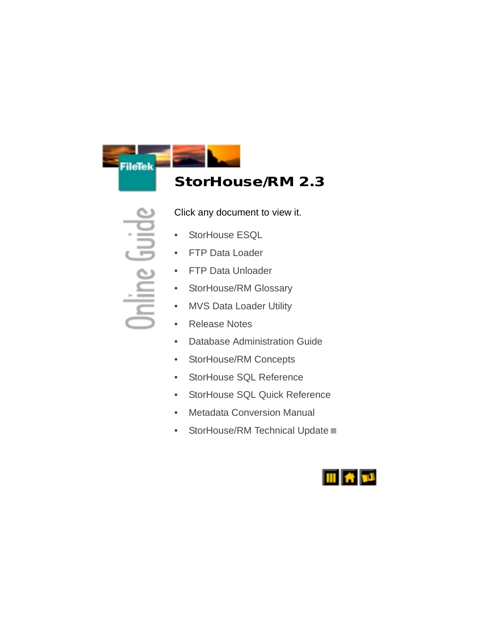

# <span id="page-11-0"></span>**StorHouse/RM 2.3**

Click any document to view it.

- [StorHouse ESQL](#page-0-0)
- [FTP Data Loader](#page-0-0)
- [FTP Data Unloader](#page-0-0)
- [StorHouse/RM Glossary](#page-0-0)
- [MVS Data Loader Utility](#page-0-0)
- [Release Notes](#page-0-0)
- [Database Administration Guide](#page-0-0)
- [StorHouse/RM Concepts](#page-0-0)
- [StorHouse SQL Reference](#page-0-0)
- [StorHouse SQL Quick Reference](#page-0-0)
- [Metadata Conversion Manual](#page-0-0)
- [StorHouse/RM Technical Update](#page-0-0)

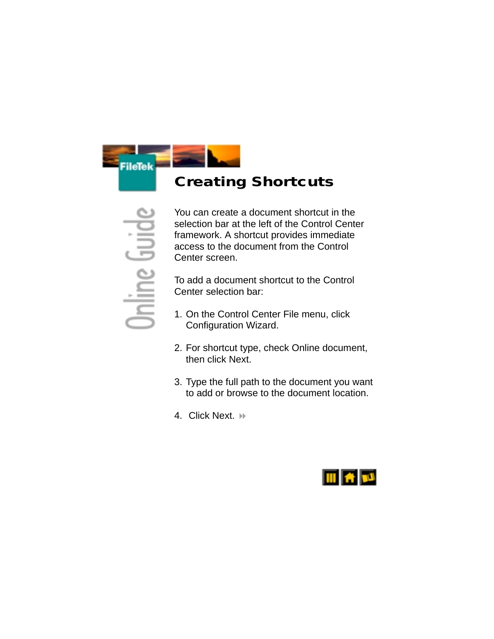

# <span id="page-12-0"></span>**Creating Shortcuts**

You can create a document shortcut in the selection bar at the left of the Control Center framework. A shortcut provides immediate access to the document from the Control Center screen.

To add a document shortcut to the Control Center selection bar:

- 1. On the Control Center File menu, click Configuration Wizard.
- 2. For shortcut type, check Online document, then click Next.
- 3. Type the full path to the document you want to add or browse to the document location.
- 4. Click Next. +

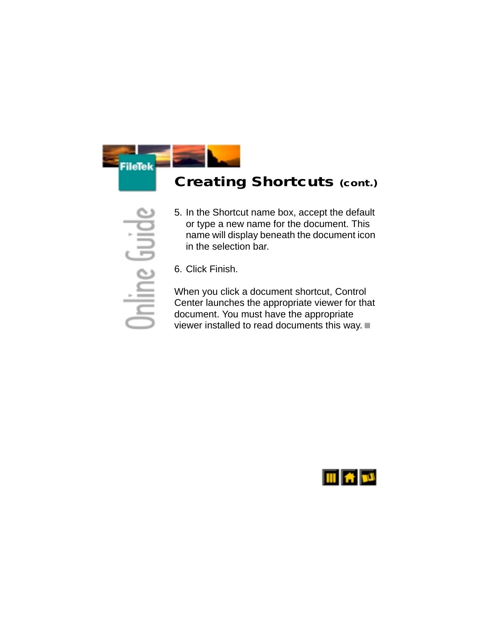

# **Creating Shortcuts (cont.)**

- <span id="page-13-0"></span>5. In the Shortcut name box, accept the default or type a new name for the document. This name will display beneath the document icon in the selection bar.
- 6. Click Finish.

When you click a document shortcut, Control Center launches the appropriate viewer for that document. You must have the appropriate viewer installed to read documents this way.

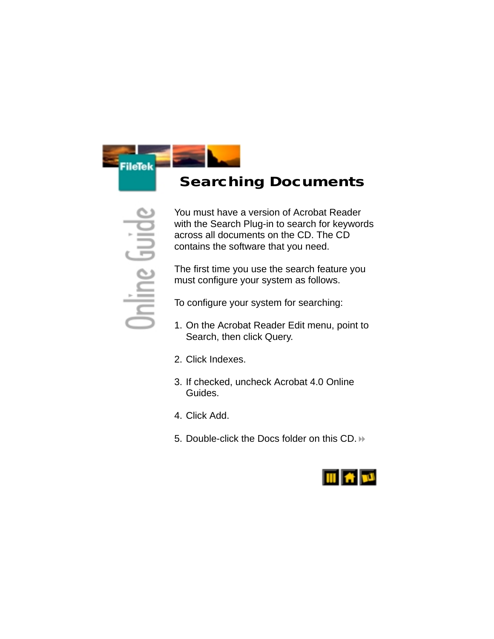

# <span id="page-14-0"></span> **Searching Documents**

You must have a version of Acrobat Reader with the Search Plug-in to search for keywords across all documents on the CD. The CD contains the software that you need.

The first time you use the search feature you must configure your system as follows.

To configure your system for searching:

- 1. On the Acrobat Reader Edit menu, point to Search, then click Query.
- 2. Click Indexes.
- 3. If checked, uncheck Acrobat 4.0 Online Guides.
- 4. Click Add.
- 5. Double-click the Docs folder on this CD.

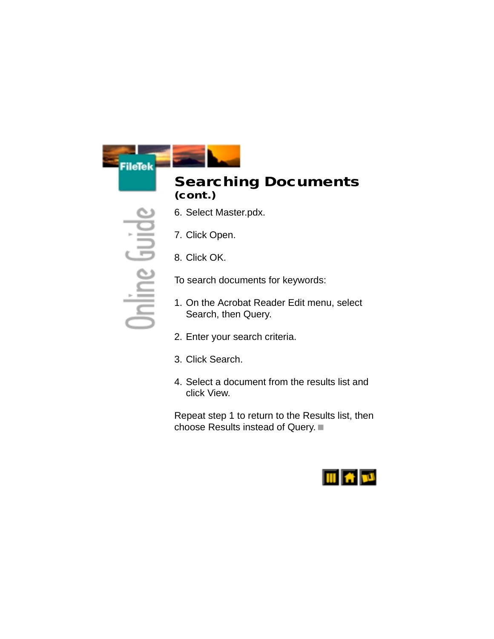**FileTek** 



- <span id="page-15-0"></span>6. Select Master.pdx.
- 7. Click Open.
- 8. Click OK.

To search documents for keywords:

- 1. On the Acrobat Reader Edit menu, select Search, then Query.
- 2. Enter your search criteria.
- 3. Click Search.
- 4. Select a document from the results list and click View.

Repeat step 1 to return to the Results list, then choose Results instead of Query.